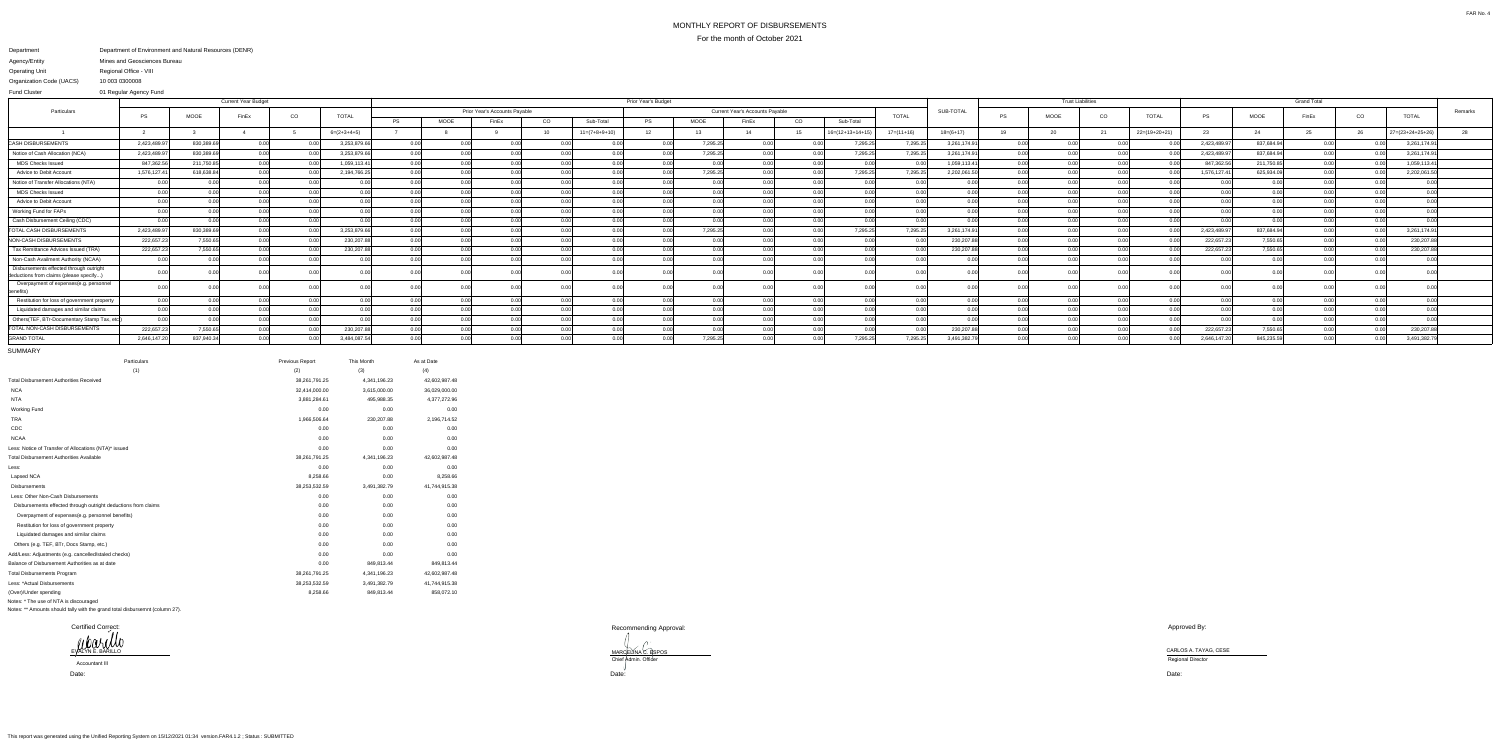## MONTHLY REPORT OF DISBURSEMENTSFor the month of October 2021

## Department Agency/EntityOperating Unit Organization Code (UACS) Department of Environment and Natural Resources (DENR) Mines and Geosciences BureauRegional Office - VIII10 003 0300008

 01 Regular Agency FundFund Cluster

|                                                                                   |              |                   | <b>Current Year Budget</b> |       |               |               | Prior Year's Budget           |       |                 |                 |                                                        |          |       |               |                    |              |              | <b>Trust Liabilities</b> |               |                |                 |             |                   |       |             |                  |         |
|-----------------------------------------------------------------------------------|--------------|-------------------|----------------------------|-------|---------------|---------------|-------------------------------|-------|-----------------|-----------------|--------------------------------------------------------|----------|-------|---------------|--------------------|--------------|--------------|--------------------------|---------------|----------------|-----------------|-------------|-------------------|-------|-------------|------------------|---------|
| Particulars                                                                       | - PS         | <b>MOOE</b>       | FinEx                      |       |               |               | Prior Year's Accounts Payable |       |                 |                 | <b>Current Year's Accounts Payable</b><br><b>TOTAL</b> |          |       |               |                    |              |              |                          |               | CO             | <b>TOTAL</b>    |             |                   |       |             |                  | Remarks |
|                                                                                   |              |                   |                            | CO    | <b>TOTAL</b>  | <b>PS</b>     | MOOE                          | FinEx | CO              | Sub-Total       | <b>PS</b>                                              | MOOE     | FinEx | <sub>CO</sub> | Sub-Total          |              |              | <b>PS</b>                | MOOE          |                |                 | PS          | MOOE              | FinEx | $_{\rm CO}$ | <b>TOTAL</b>     |         |
|                                                                                   |              |                   |                            |       | $6=(2+3+4+5)$ |               |                               |       | 10 <sup>1</sup> | $11=(7+8+9+10)$ | 12                                                     | 13       |       |               | $16=(12+13+14+19)$ | $17=(11+16)$ | $18=(6+17)$  | 19                       | 20            | 21             | $22=(19+20+21)$ | 23          | 24                |       | 26          | 27=(23+24+25+26) |         |
| <b>CASH DISBURSEMENT</b>                                                          | 2,423,489.97 | 830,389.6         | 0.00                       | n nnl | 3,253,879.66  | 0.00          |                               | n nn  |                 | 0.00            | 0.00                                                   | 7,295.25 | 0.00  | 0.001         | 7,295.25           | 7,295.25     | 3,261,174.91 |                          |               |                |                 | 2,423,489.9 | 837,684.94        | 0.00  | . വ വ       | 3,261,174.9      |         |
| Notice of Cash Allocation (NCA)                                                   | 2,423,489.97 | 830,389.6         |                            |       | 3,253,879.66  |               | 0.00                          |       |                 | -0.00           |                                                        | 7,295.25 | 0.00  |               | 7,295.25           | 7,295.25     | 3,261,174.91 |                          |               |                |                 | 2,423,489.9 | 837,684.94        | 0.00  |             | 3,261,174.9      |         |
| <b>MDS Checks Issued</b>                                                          | 847,362.5    | 211,750.8         |                            |       | 1,059,113.41  |               | 0.00                          |       |                 |                 |                                                        | 0.0      | 0.00  |               |                    |              | 1,059,113.41 |                          |               |                |                 | 847,362.    | 211,750.85        | 0.00  |             | 1,059,113.4      |         |
| Advice to Debit Account                                                           | 1,576,127.41 | 618,638.84        | 0.00                       | n nnl | 2,194,766.25  | 0.00          |                               |       | 0.00            | n no            | ი იი                                                   | 7,295.25 | 0.00  | 0.00          | 7,295.25           | 7,295.25     | 2,202,061.50 |                          |               | n nr           | n nn            | 1,576,127.4 | 625,934.09        | 0.00  |             | 2,202,061.50     |         |
| Notice of Transfer Allocations (NTA)                                              |              | 0.00              | 0.00                       | n ool |               | n nnl         | 0.00                          | n nn  | 0.00            | 0.00            | 0.00                                                   | 0.00     | 0.00  | 0.00          | n nn               | n nn         | 0.00         |                          | $\cap$ $\cap$ | 0.00           | 0.00            |             | 0.00              | 0.00  | n no        |                  |         |
| <b>MDS Checks Issued</b>                                                          |              | 0.00 <sub>l</sub> |                            | 0.001 |               | 0.00l         | 0.00                          | 0.00  |                 | 0.00            | 0.00                                                   | 0.00     |       | 0.00          | . വ വ              |              | 0.00         |                          |               | 0.00           | 0.00            |             | $0.00\,$          | 0.00  | 0.00        | 0.00             |         |
| Advice to Debit Account                                                           |              |                   |                            |       |               | 0.00          |                               |       |                 |                 |                                                        |          |       |               |                    |              |              |                          |               |                |                 |             | 0.00              |       |             |                  |         |
| Working Fund for FAPs                                                             |              |                   |                            |       |               | 0.00          |                               |       |                 |                 |                                                        |          |       |               |                    |              |              |                          |               |                |                 |             | 0.00              |       |             |                  |         |
| Cash Disbursement Ceiling (CDC)                                                   |              | n nnl             |                            | n nn  |               | n nnl         | 0.00L                         |       |                 |                 |                                                        | n nr     |       | n nn          |                    | 0.00         |              |                          |               |                |                 |             | 0.00 <sub>l</sub> |       |             | <u>ሰ በ</u>       |         |
| <b>TOTAL CASH DISBURSEMENTS</b>                                                   | 2,423,489.97 | 830,389.69        |                            | n nn  | 3,253,879.66  |               | 0.00                          |       |                 | n nr            |                                                        | 7,295.25 |       | 0.00          | 7,295.25           | 7,295.25     | 3,261,174.91 |                          |               |                | 0.00            | 2,423,489.9 | 837,684.94        | 0.00  |             | 3,261,174.91     |         |
| NON-CASH DISBURSEMENTS                                                            | 222,657.23   | 7,550.65          |                            | . വ   | 230,207.88    |               | 0.00                          |       |                 | 0.00            |                                                        | 0.0(     |       |               |                    |              | 230,207.88   |                          |               |                | 0.00            | 222,657.    | 7,550.65          | 0.00  |             | 230,207.8        |         |
| Tax Remittance Advices Issued (TRA)                                               | 222,657.23   | 7,550.65          |                            |       | 230,207.88    | 0.00          |                               |       |                 | 0.0             |                                                        | 0.0      |       |               |                    |              | 230,207.88   |                          |               |                |                 | 222,657.    | 7,550.6           | 0.00  |             | 230,207.8        |         |
| Non-Cash Availment Authority (NCAA)                                               | 0.00         | 0.001             |                            |       |               |               | 0.00                          |       |                 | $\cap$ $\cap$   |                                                        |          |       |               |                    |              | n nn         |                          |               | n nr           |                 |             | 0.00              | 0.00  |             | 0.00             |         |
| Disbursements effected through outright<br>deductions from claims (please specify |              |                   |                            |       |               | 0.00          |                               |       |                 | -0.00           |                                                        | 0.0      |       |               |                    |              |              |                          |               |                |                 |             | 0.OOI             |       |             |                  |         |
| Overpayment of expenses(e.g. personnel                                            |              |                   |                            |       |               |               |                               |       |                 |                 |                                                        |          |       |               |                    |              |              |                          |               |                |                 |             |                   |       |             |                  |         |
| Restitution for loss of government property                                       |              | 0.00              | 0.00                       | n nn  |               | n nnl         | 0.00                          |       |                 | 0.00            |                                                        | n nr     |       | 0.00          |                    | n nn         |              |                          |               | 0 <sub>0</sub> |                 |             | 0.00              |       |             | 0.00             |         |
| Liquidated damages and similar claims                                             | 0.00         | 0.00              |                            | 0.00  |               | 0.00<br>n nnl |                               |       |                 | 0.00            | n nr                                                   | 0.00     |       | 0.00          |                    |              | 0.00         |                          |               | 0.OC           | 0.00            |             | 0.00              |       | n nr        | 0.00             |         |
| Others(TEF, BTr-Documentary Stamp Tax, etd.                                       |              | 0.00              |                            |       |               | 0. UU         |                               |       |                 |                 |                                                        |          |       |               |                    |              |              |                          |               |                |                 |             | ገ በበ              |       |             |                  |         |
| TOTAL NON-CASH DISBURSEMENTS                                                      | 222,657.2    | 7,550.65          |                            |       | 230,207.88    | 0.00          |                               |       |                 |                 |                                                        | 0.0(     |       |               |                    |              | 230,207.88   |                          |               |                |                 | 222,657.    | 7,550.65          |       |             | 230,207.8        |         |
| <b>GRAND TOTAL</b>                                                                | 2,646,147.20 | 837,940.34        | 0.00                       | n ool | 3,484,087.54  |               | 0.00 <sub>l</sub>             | 0.00  |                 | 0.00            |                                                        | 7,295.25 |       | 0.00          | 7,295.25           | 7,295.25     | 3,491,382.79 |                          |               | 0.00           |                 | 2,646,147.2 | 845,235.59        | 0.00  |             | 3,491,382.7      |         |

SUMMARY

| Particulars                                                    | Previous Report | This Month   | As at Date    |
|----------------------------------------------------------------|-----------------|--------------|---------------|
| (1)                                                            | (2)             | (3)          | (4)           |
| <b>Total Disbursement Authorities Received</b>                 | 38,261,791.25   | 4,341,196.23 | 42,602,987.48 |
| <b>NCA</b>                                                     | 32,414,000.00   | 3,615,000.00 | 36,029,000.00 |
| <b>NTA</b>                                                     | 3,881,284.61    | 495,988.35   | 4,377,272.96  |
| Working Fund                                                   | 0.00            | 0.00         | 0.00          |
| <b>TRA</b>                                                     | 1,966,506.64    | 230,207.88   | 2,196,714.52  |
| CDC                                                            | 0.00            | 0.00         | 0.00          |
| <b>NCAA</b>                                                    | 0.00            | 0.00         | 0.00          |
| Less: Notice of Transfer of Allocations (NTA)* issued          | 0.00            | 0.00         | 0.00          |
| <b>Total Disbursement Authorities Available</b>                | 38,261,791.25   | 4,341,196.23 | 42,602,987.48 |
| Less:                                                          | 0.00            | 0.00         | 0.00          |
| Lapsed NCA                                                     | 8,258.66        | 0.00         | 8,258.66      |
| <b>Disbursements</b>                                           | 38,253,532.59   | 3,491,382.79 | 41,744,915.38 |
| Less: Other Non-Cash Disbursements                             | 0.00            | 0.00         | 0.00          |
| Disbursements effected through outright deductions from claims | 0.00            | 0.00         | 0.00          |
| Overpayment of expenses(e.g. personnel benefits)               | 0.00            | 0.00         | 0.00          |
| Restitution for loss of government property                    | 0.00            | 0.00         | 0.00          |
| Liquidated damages and similar claims                          | 0.00            | 0.00         | 0.00          |
| Others (e.g. TEF, BTr, Docs Stamp, etc.)                       | 0.00            | 0.00         | 0.00          |
| Add/Less: Adjustments (e.g. cancelled/staled checks)           | 0.00            | 0.00         | 0.00          |
| Balance of Disbursement Authorities as at date                 | 0.00            | 849,813.44   | 849,813.44    |
| <b>Total Disbursements Program</b>                             | 38,261,791.25   | 4,341,196.23 | 42,602,987.48 |
| Less: *Actual Disbursements                                    | 38,253,532.59   | 3,491,382.79 | 41,744,915.38 |
| (Over)/Under spending                                          | 8,258.66        | 849,813.44   | 858,072.10    |
| Notes: * The use of NTA is discouraged                         |                 |              |               |

Notes: \*\* Amounts should tally with the grand total disbursemnt (column 27).

Recommending Approval:

MARCELINA C. A TAYAG, CESE<br>Chief Admin. Officer Chief Admin. Officer Chief Admin. Officer Chief Admin. Officer

Approved By:

Date: Date:

Certified Correct:EVALYN E. BARILLO

Date:Accountant III